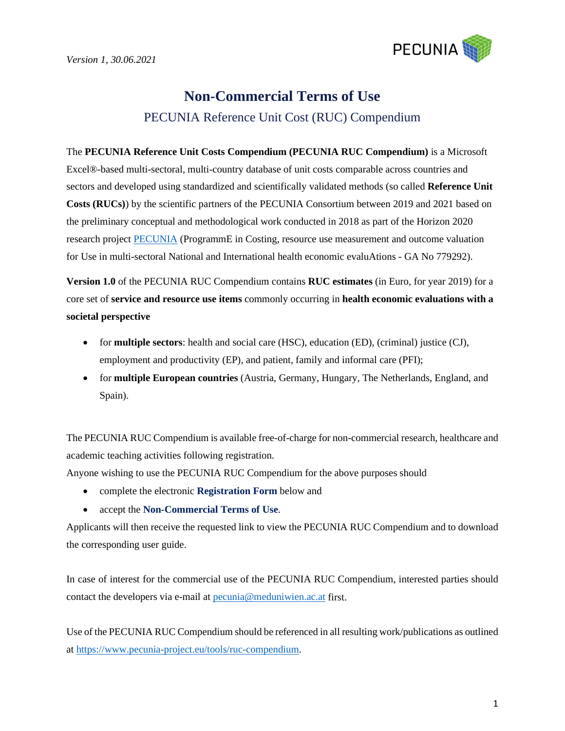

# **Non-Commercial Terms of Use** PECUNIA Reference Unit Cost (RUC) Compendium

The **PECUNIA Reference Unit Costs Compendium (PECUNIA RUC Compendium)** is a Microsoft Excel®-based multi-sectoral, multi-country database of unit costs comparable across countries and sectors and developed using standardized and scientifically validated methods (so called **Reference Unit Costs (RUCs)**) by the scientific partners of the PECUNIA Consortium between 2019 and 2021 based on the preliminary conceptual and methodological work conducted in 2018 as part of the Horizon 2020 research projec[t PECUNIA](https://www.pecunia-project.eu/) (ProgrammE in Costing, resource use measurement and outcome valuation for Use in multi-sectoral National and International health economic evaluAtions - GA No 779292).

**Version 1.0** of the PECUNIA RUC Compendium contains **RUC estimates** (in Euro, for year 2019) for a core set of **service and resource use items** commonly occurring in **health economic evaluations with a societal perspective**

- for **multiple sectors**: health and social care (HSC), education (ED), (criminal) justice (CJ), employment and productivity (EP), and patient, family and informal care (PFI);
- for **multiple European countries** (Austria, Germany, Hungary, The Netherlands, England, and Spain).

The PECUNIA RUC Compendium is available free-of-charge for non-commercial research, healthcare and academic teaching activities following registration.

Anyone wishing to use the PECUNIA RUC Compendium for the above purposes should

- complete the electronic **Registration Form** below and
- accept the **Non-Commercial Terms of Use**.

Applicants will then receive the requested link to view the PECUNIA RUC Compendium and to download the corresponding user guide.

In case of interest for the commercial use of the PECUNIA RUC Compendium, interested parties should contact the developers via e-mail at [pecunia@meduniwien.ac.at](mailto:pecunia@meduniwien.ac.at) first.

Use of the PECUNIA RUC Compendium should be referenced in all resulting work/publications as outlined at [https://www.pecunia-project.eu/tools/r](https://www.pecunia-project.eu/tools/)uc-compendium.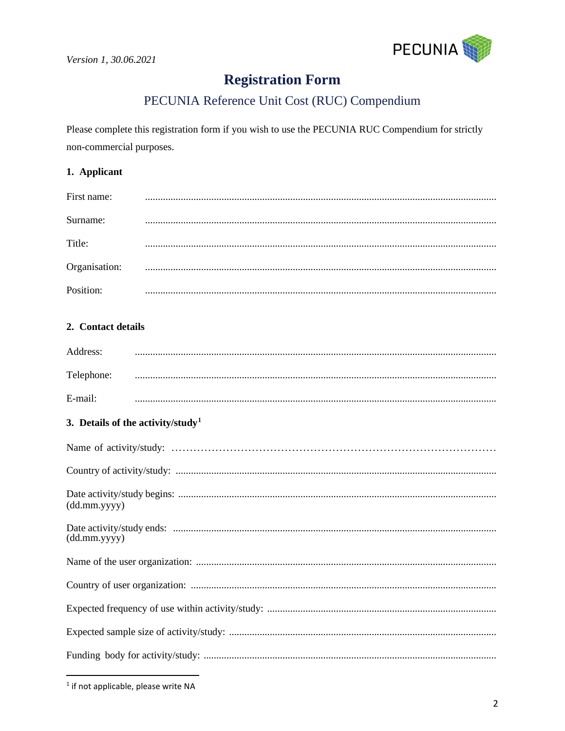

# **Registration Form**

# PECUNIA Reference Unit Cost (RUC) Compendium

Please complete this registration form if you wish to use the PECUNIA RUC Compendium for strictly non-commercial purposes.

#### 1. Applicant

| First name:   |  |
|---------------|--|
| Surname:      |  |
| Title:        |  |
| Organisation: |  |
| Position:     |  |

## 2. Contact details

| Address:   |  |
|------------|--|
| Telephone: |  |
| $E$ -mail: |  |

### 3. Details of the activity/study<sup>1</sup>

| (dd.mm.yyyy) |
|--------------|
| (dd.mm.yyyy) |
|              |
|              |
|              |
|              |
|              |

<span id="page-1-0"></span><sup>&</sup>lt;sup>1</sup> if not applicable, please write NA